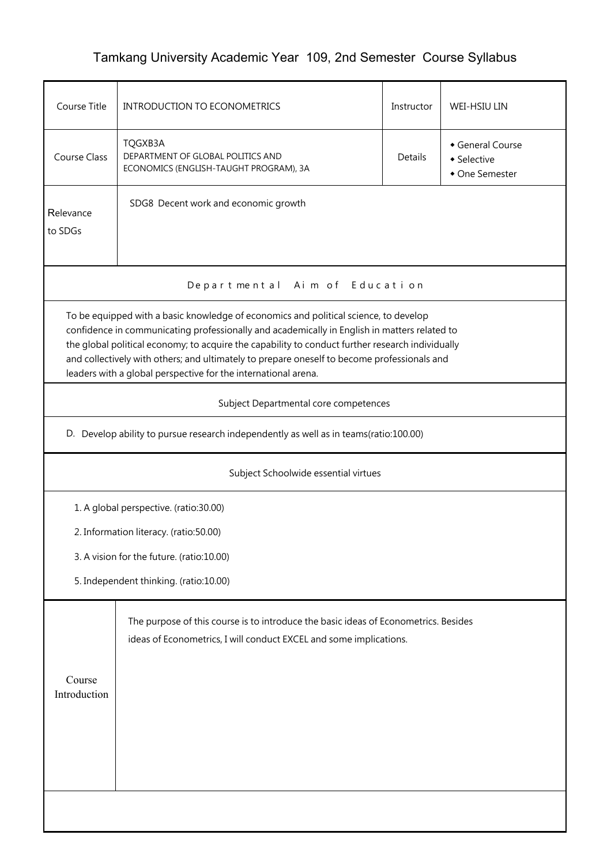## Tamkang University Academic Year 109, 2nd Semester Course Syllabus

| Course Title                                                                                                                                                                                                                                                                                                                                                                                                                                              | <b>INTRODUCTION TO ECONOMETRICS</b><br>Instructor                                                                                                         |  | WEI-HSIU LIN                                    |  |  |  |
|-----------------------------------------------------------------------------------------------------------------------------------------------------------------------------------------------------------------------------------------------------------------------------------------------------------------------------------------------------------------------------------------------------------------------------------------------------------|-----------------------------------------------------------------------------------------------------------------------------------------------------------|--|-------------------------------------------------|--|--|--|
| <b>Course Class</b>                                                                                                                                                                                                                                                                                                                                                                                                                                       | TQGXB3A<br>DEPARTMENT OF GLOBAL POLITICS AND<br>Details<br>ECONOMICS (ENGLISH-TAUGHT PROGRAM), 3A                                                         |  | General Course<br>• Selective<br>• One Semester |  |  |  |
| Relevance<br>to SDGs                                                                                                                                                                                                                                                                                                                                                                                                                                      | SDG8 Decent work and economic growth                                                                                                                      |  |                                                 |  |  |  |
| Departmental Aim of Education                                                                                                                                                                                                                                                                                                                                                                                                                             |                                                                                                                                                           |  |                                                 |  |  |  |
| To be equipped with a basic knowledge of economics and political science, to develop<br>confidence in communicating professionally and academically in English in matters related to<br>the global political economy; to acquire the capability to conduct further research individually<br>and collectively with others; and ultimately to prepare oneself to become professionals and<br>leaders with a global perspective for the international arena. |                                                                                                                                                           |  |                                                 |  |  |  |
| Subject Departmental core competences                                                                                                                                                                                                                                                                                                                                                                                                                     |                                                                                                                                                           |  |                                                 |  |  |  |
| D. Develop ability to pursue research independently as well as in teams(ratio:100.00)                                                                                                                                                                                                                                                                                                                                                                     |                                                                                                                                                           |  |                                                 |  |  |  |
| Subject Schoolwide essential virtues                                                                                                                                                                                                                                                                                                                                                                                                                      |                                                                                                                                                           |  |                                                 |  |  |  |
| 1. A global perspective. (ratio:30.00)                                                                                                                                                                                                                                                                                                                                                                                                                    |                                                                                                                                                           |  |                                                 |  |  |  |
|                                                                                                                                                                                                                                                                                                                                                                                                                                                           | 2. Information literacy. (ratio:50.00)                                                                                                                    |  |                                                 |  |  |  |
| 3. A vision for the future. (ratio:10.00)                                                                                                                                                                                                                                                                                                                                                                                                                 |                                                                                                                                                           |  |                                                 |  |  |  |
| 5. Independent thinking. (ratio:10.00)                                                                                                                                                                                                                                                                                                                                                                                                                    |                                                                                                                                                           |  |                                                 |  |  |  |
| Course<br>Introduction                                                                                                                                                                                                                                                                                                                                                                                                                                    | The purpose of this course is to introduce the basic ideas of Econometrics. Besides<br>ideas of Econometrics, I will conduct EXCEL and some implications. |  |                                                 |  |  |  |
|                                                                                                                                                                                                                                                                                                                                                                                                                                                           |                                                                                                                                                           |  |                                                 |  |  |  |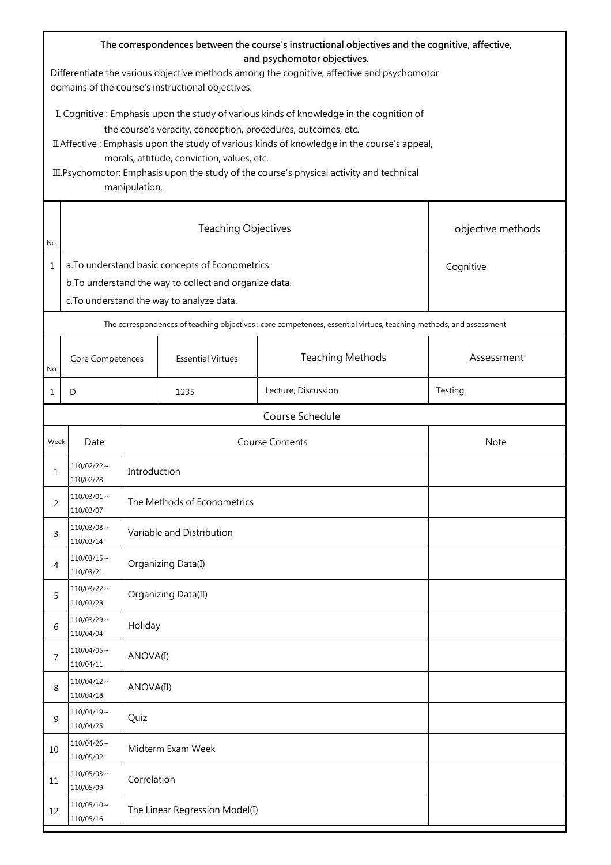| The correspondences between the course's instructional objectives and the cognitive, affective,<br>and psychomotor objectives.<br>Differentiate the various objective methods among the cognitive, affective and psychomotor<br>domains of the course's instructional objectives.                                                                                                                                    |                                                                                                                                                                      |                           |                             |                                                                                                                    |            |  |
|----------------------------------------------------------------------------------------------------------------------------------------------------------------------------------------------------------------------------------------------------------------------------------------------------------------------------------------------------------------------------------------------------------------------|----------------------------------------------------------------------------------------------------------------------------------------------------------------------|---------------------------|-----------------------------|--------------------------------------------------------------------------------------------------------------------|------------|--|
| I. Cognitive: Emphasis upon the study of various kinds of knowledge in the cognition of<br>the course's veracity, conception, procedures, outcomes, etc.<br>II. Affective: Emphasis upon the study of various kinds of knowledge in the course's appeal,<br>morals, attitude, conviction, values, etc.<br>III. Psychomotor: Emphasis upon the study of the course's physical activity and technical<br>manipulation. |                                                                                                                                                                      |                           |                             |                                                                                                                    |            |  |
| No.                                                                                                                                                                                                                                                                                                                                                                                                                  | <b>Teaching Objectives</b><br>objective methods                                                                                                                      |                           |                             |                                                                                                                    |            |  |
| $\mathbf{1}$                                                                                                                                                                                                                                                                                                                                                                                                         | a. To understand basic concepts of Econometrics.<br>Cognitive<br>b. To understand the way to collect and organize data.<br>c. To understand the way to analyze data. |                           |                             |                                                                                                                    |            |  |
|                                                                                                                                                                                                                                                                                                                                                                                                                      |                                                                                                                                                                      |                           |                             | The correspondences of teaching objectives : core competences, essential virtues, teaching methods, and assessment |            |  |
| No.                                                                                                                                                                                                                                                                                                                                                                                                                  | Core Competences                                                                                                                                                     |                           | <b>Essential Virtues</b>    | <b>Teaching Methods</b>                                                                                            | Assessment |  |
| $\mathbf{1}$                                                                                                                                                                                                                                                                                                                                                                                                         | D                                                                                                                                                                    |                           | 1235                        | Lecture, Discussion                                                                                                | Testing    |  |
|                                                                                                                                                                                                                                                                                                                                                                                                                      |                                                                                                                                                                      |                           |                             | Course Schedule                                                                                                    |            |  |
| Week                                                                                                                                                                                                                                                                                                                                                                                                                 | Date                                                                                                                                                                 |                           | <b>Course Contents</b>      |                                                                                                                    | Note       |  |
| 1                                                                                                                                                                                                                                                                                                                                                                                                                    | $110/02/22 \sim$<br>110/02/28                                                                                                                                        | Introduction              |                             |                                                                                                                    |            |  |
| 2                                                                                                                                                                                                                                                                                                                                                                                                                    | $110/03/01$ ~<br>110/03/07                                                                                                                                           |                           | The Methods of Econometrics |                                                                                                                    |            |  |
| 3                                                                                                                                                                                                                                                                                                                                                                                                                    | $110/03/08 \sim$<br>110/03/14                                                                                                                                        | Variable and Distribution |                             |                                                                                                                    |            |  |
| 4                                                                                                                                                                                                                                                                                                                                                                                                                    | $110/03/15 \sim$<br>110/03/21                                                                                                                                        |                           | Organizing Data(I)          |                                                                                                                    |            |  |
| 5                                                                                                                                                                                                                                                                                                                                                                                                                    | $110/03/22$ ~<br>110/03/28                                                                                                                                           |                           | Organizing Data(II)         |                                                                                                                    |            |  |
| 6                                                                                                                                                                                                                                                                                                                                                                                                                    | $110/03/29 \sim$<br>110/04/04                                                                                                                                        |                           | Holiday                     |                                                                                                                    |            |  |
| 7                                                                                                                                                                                                                                                                                                                                                                                                                    | $110/04/05$ ~<br>110/04/11                                                                                                                                           |                           | ANOVA(I)                    |                                                                                                                    |            |  |
| 8                                                                                                                                                                                                                                                                                                                                                                                                                    | $110/04/12 \sim$<br>110/04/18                                                                                                                                        | ANOVA(II)                 |                             |                                                                                                                    |            |  |
| 9                                                                                                                                                                                                                                                                                                                                                                                                                    | $110/04/19$ ~<br>110/04/25                                                                                                                                           | Quiz                      |                             |                                                                                                                    |            |  |
| 10                                                                                                                                                                                                                                                                                                                                                                                                                   | $110/04/26 \sim$<br>110/05/02                                                                                                                                        |                           | Midterm Exam Week           |                                                                                                                    |            |  |
| 11                                                                                                                                                                                                                                                                                                                                                                                                                   | $110/05/03 \sim$<br>110/05/09                                                                                                                                        | Correlation               |                             |                                                                                                                    |            |  |
| 12                                                                                                                                                                                                                                                                                                                                                                                                                   | $110/05/10 \sim$<br>The Linear Regression Model(I)<br>110/05/16                                                                                                      |                           |                             |                                                                                                                    |            |  |